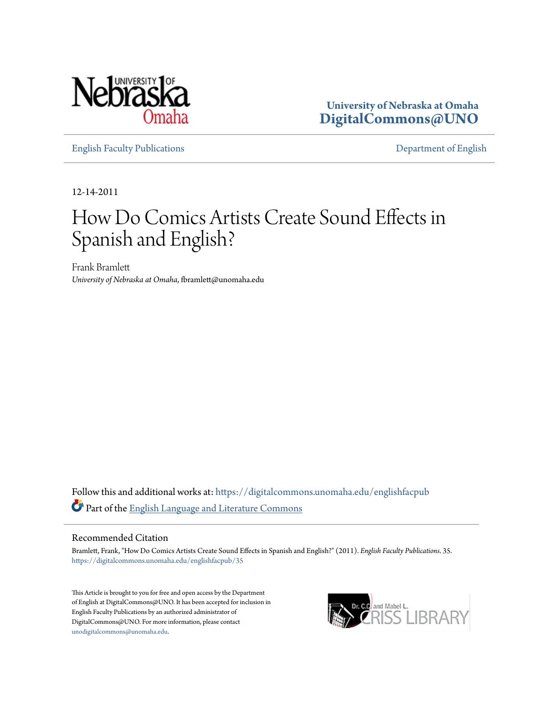

**University of Nebraska at Omaha [DigitalCommons@UNO](https://digitalcommons.unomaha.edu?utm_source=digitalcommons.unomaha.edu%2Fenglishfacpub%2F35&utm_medium=PDF&utm_campaign=PDFCoverPages)**

[English Faculty Publications](https://digitalcommons.unomaha.edu/englishfacpub?utm_source=digitalcommons.unomaha.edu%2Fenglishfacpub%2F35&utm_medium=PDF&utm_campaign=PDFCoverPages) [Department of English](https://digitalcommons.unomaha.edu/english?utm_source=digitalcommons.unomaha.edu%2Fenglishfacpub%2F35&utm_medium=PDF&utm_campaign=PDFCoverPages)

12-14-2011

## How Do Comics Artists Create Sound Effects in Spanish and English?

Frank Bramlett *University of Nebraska at Omaha*, fbramlett@unomaha.edu

Follow this and additional works at: [https://digitalcommons.unomaha.edu/englishfacpub](https://digitalcommons.unomaha.edu/englishfacpub?utm_source=digitalcommons.unomaha.edu%2Fenglishfacpub%2F35&utm_medium=PDF&utm_campaign=PDFCoverPages) Part of the [English Language and Literature Commons](http://network.bepress.com/hgg/discipline/455?utm_source=digitalcommons.unomaha.edu%2Fenglishfacpub%2F35&utm_medium=PDF&utm_campaign=PDFCoverPages)

#### Recommended Citation

Bramlett, Frank, "How Do Comics Artists Create Sound Effects in Spanish and English?" (2011). *English Faculty Publications*. 35. [https://digitalcommons.unomaha.edu/englishfacpub/35](https://digitalcommons.unomaha.edu/englishfacpub/35?utm_source=digitalcommons.unomaha.edu%2Fenglishfacpub%2F35&utm_medium=PDF&utm_campaign=PDFCoverPages)

This Article is brought to you for free and open access by the Department of English at DigitalCommons@UNO. It has been accepted for inclusion in English Faculty Publications by an authorized administrator of DigitalCommons@UNO. For more information, please contact [unodigitalcommons@unomaha.edu](mailto:unodigitalcommons@unomaha.edu).

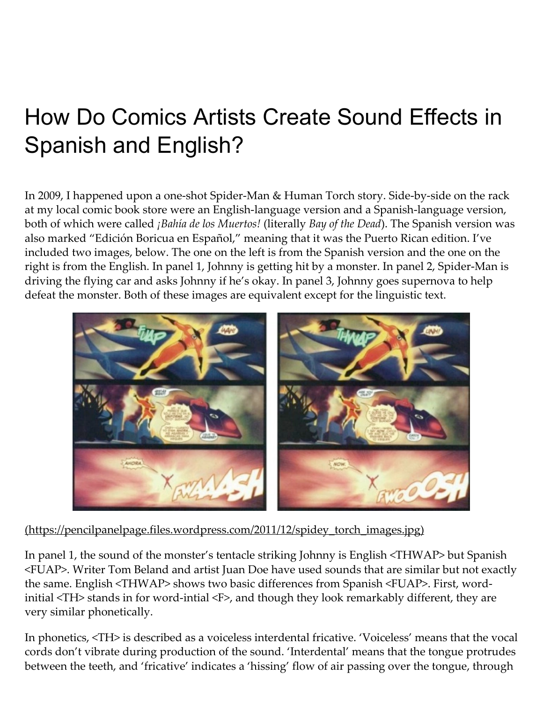# How Do Comics Artists Create Sound Effects in Spanish and English?

In 2009, I happened upon a one-shot Spider-Man & Human Torch story. Side-by-side on the rack at my local comic book store were an English-language version and a Spanish-language version, both of which were called *¡Bahía de los Muertos!* (literally *Bay of the Dead*). The Spanish version was also marked "Edición Boricua en Español," meaning that it was the Puerto Rican edition. I've included two images, below. The one on the left is from the Spanish version and the one on the right is from the English. In panel 1, Johnny is getting hit by a monster. In panel 2, Spider-Man is driving the flying car and asks Johnny if he's okay. In panel 3, Johnny goes supernova to help defeat the monster. Both of these images are equivalent except for the linguistic text.



#### (https://pencilpanelpage.files.wordpress.com/2011/12/spidey\_torch\_images.jpg)

In panel 1, the sound of the monster's tentacle striking Johnny is English <THWAP> but Spanish <FUAP>. Writer Tom Beland and artist Juan Doe have used sounds that are similar but not exactly the same. English <THWAP> shows two basic differences from Spanish <FUAP>. First, word‑ initial <TH> stands in for word-intial <F>, and though they look remarkably different, they are very similar phonetically.

In phonetics, <TH> is described as a voiceless interdental fricative. 'Voiceless' means that the vocal cords don't vibrate during production of the sound. 'Interdental' means that the tongue protrudes between the teeth, and 'fricative' indicates a 'hissing' flow of air passing over the tongue, through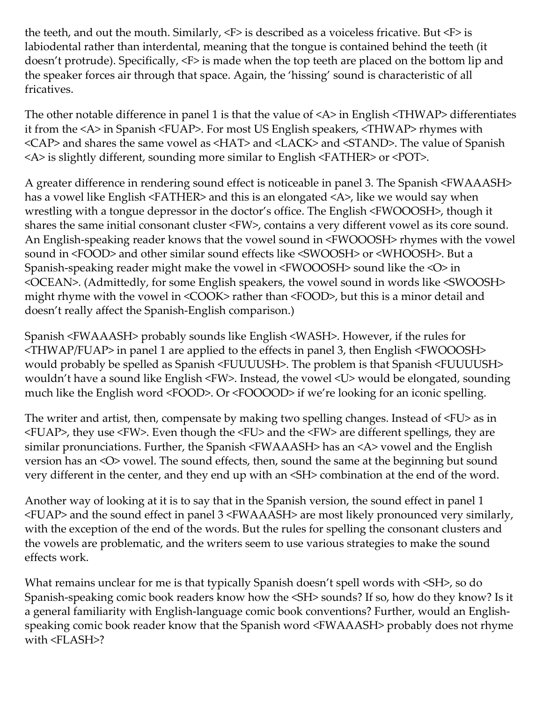the teeth, and out the mouth. Similarly, <F> is described as a voiceless fricative. But <F> is labiodental rather than interdental, meaning that the tongue is contained behind the teeth (it doesn't protrude). Specifically, <F> is made when the top teeth are placed on the bottom lip and the speaker forces air through that space. Again, the 'hissing' sound is characteristic of all fricatives.

The other notable difference in panel 1 is that the value of <A> in English <THWAP> differentiates it from the <A> in Spanish <FUAP>. For most US English speakers, <THWAP> rhymes with <CAP> and shares the same vowel as <HAT> and <LACK> and <STAND>. The value of Spanish <A> is slightly different, sounding more similar to English <FATHER> or <POT>.

A greater difference in rendering sound effect is noticeable in panel 3. The Spanish <FWAAASH> has a vowel like English <FATHER> and this is an elongated <A>, like we would say when wrestling with a tongue depressor in the doctor's office. The English <FWOOOSH>, though it shares the same initial consonant cluster <FW>, contains a very different vowel as its core sound. An English-speaking reader knows that the vowel sound in <FWOOOSH> rhymes with the vowel sound in <FOOD> and other similar sound effects like <SWOOSH> or <WHOOSH>. But a Spanish‑speaking reader might make the vowel in <FWOOOSH> sound like the <O> in <OCEAN>. (Admittedly, for some English speakers, the vowel sound in words like <SWOOSH> might rhyme with the vowel in <COOK> rather than <FOOD>, but this is a minor detail and doesn't really affect the Spanish‑English comparison.)

Spanish <FWAAASH> probably sounds like English <WASH>. However, if the rules for <THWAP/FUAP> in panel 1 are applied to the effects in panel 3, then English <FWOOOSH> would probably be spelled as Spanish <FUUUUSH>. The problem is that Spanish <FUUUUSH> wouldn't have a sound like English <FW>. Instead, the vowel <U> would be elongated, sounding much like the English word <FOOD>. Or <FOOOOD> if we're looking for an iconic spelling.

The writer and artist, then, compensate by making two spelling changes. Instead of <FU> as in <FUAP>, they use <FW>. Even though the <FU> and the <FW> are different spellings, they are similar pronunciations. Further, the Spanish <FWAAASH> has an <A> vowel and the English version has an <O> vowel. The sound effects, then, sound the same at the beginning but sound very different in the center, and they end up with an <SH> combination at the end of the word.

Another way of looking at it is to say that in the Spanish version, the sound effect in panel 1 <FUAP> and the sound effect in panel 3 <FWAAASH> are most likely pronounced very similarly, with the exception of the end of the words. But the rules for spelling the consonant clusters and the vowels are problematic, and the writers seem to use various strategies to make the sound effects work.

What remains unclear for me is that typically Spanish doesn't spell words with <SH>, so do Spanish‑speaking comic book readers know how the <SH> sounds? If so, how do they know? Is it a general familiarity with English-language comic book conventions? Further, would an Englishspeaking comic book reader know that the Spanish word <FWAAASH> probably does not rhyme with <FLASH>?